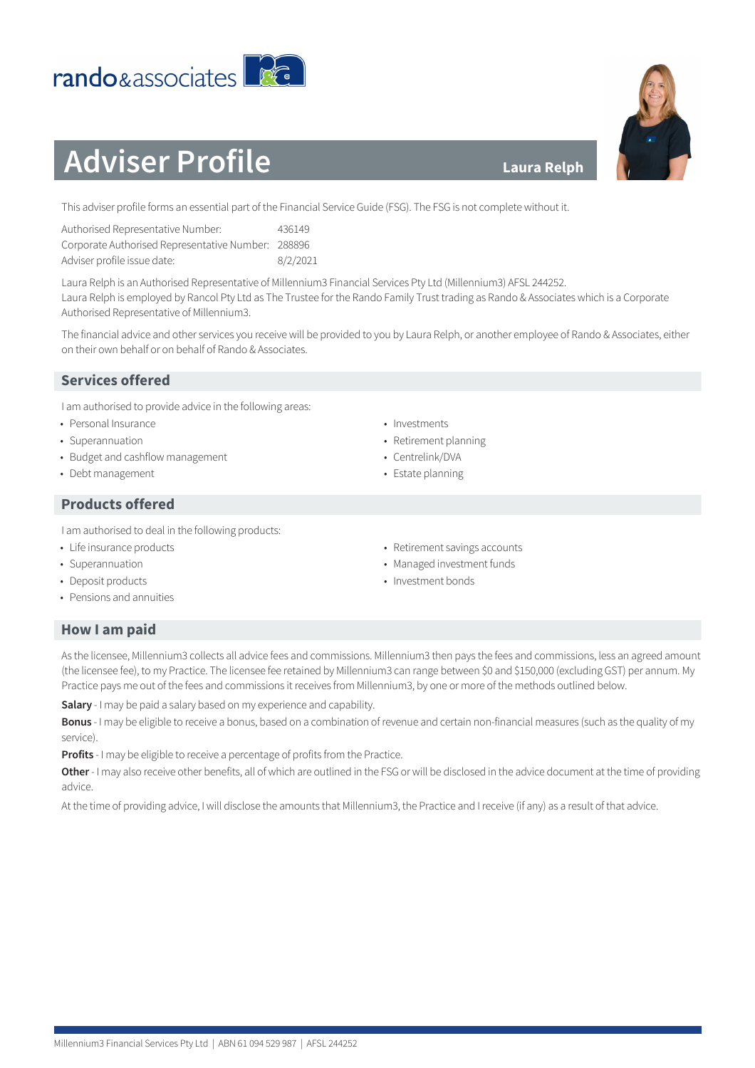#### Millennium3 Financial Services Pty Ltd | ABN 61 094 529 987 | AFSL 244252

**Salary** - I may be paid a salary based on my experience and capability.

**Profits** - I may be eligible to receive a percentage of profits from the Practice.

### **Laura Relph**

This adviser profile forms an essential part of the Financial Service Guide (FSG). The FSG is not complete without it.

| Authorised Representative Number:                  | 436149   |
|----------------------------------------------------|----------|
| Corporate Authorised Representative Number: 288896 |          |
| Adviser profile issue date:                        | 8/2/2021 |

Laura Relph is an Authorised Representative of Millennium3 Financial Services Pty Ltd (Millennium3) AFSL 244252. Laura Relph is employed by Rancol Pty Ltd as The Trustee for the Rando Family Trust trading as Rando & Associates which is a Corporate Authorised Representative of Millennium3.

The financial advice and other services you receive will be provided to you by Laura Relph, or another employee of Rando & Associates, either on their own behalf or on behalf of Rando & Associates.

As the licensee, Millennium3 collects all advice fees and commissions. Millennium3 then pays the fees and commissions, less an agreed amount (the licensee fee), to my Practice. The licensee fee retained by Millennium3 can range between \$0 and \$150,000 (excluding GST) per annum. My

**Bonus** - I may be eligible to receive a bonus, based on a combination of revenue and certain non-financial measures (such as the quality of my

**Other** - I may also receive other benefits, all of which are outlined in the FSG or will be disclosed in the advice document at the time of providing

At the time of providing advice, I will disclose the amounts that Millennium3, the Practice and I receive (if any) as a result of that advice.

Practice pays me out of the fees and commissions it receives from Millennium3, by one or more of the methods outlined below.

# **Services offered**

I am authorised to provide advice in the following areas:

- Personal Insurance
- Superannuation
- Budget and cashflow management
- Debt management

# **Products offered**

I am authorised to deal in the following products:

- Life insurance products
- Superannuation
- Deposit products

**How I am paid**

service).

advice.

• Pensions and annuities

- Investments
- Retirement planning
- Centrelink/DVA
- Estate planning
- Retirement savings accounts • Managed investment funds
- Investment bonds